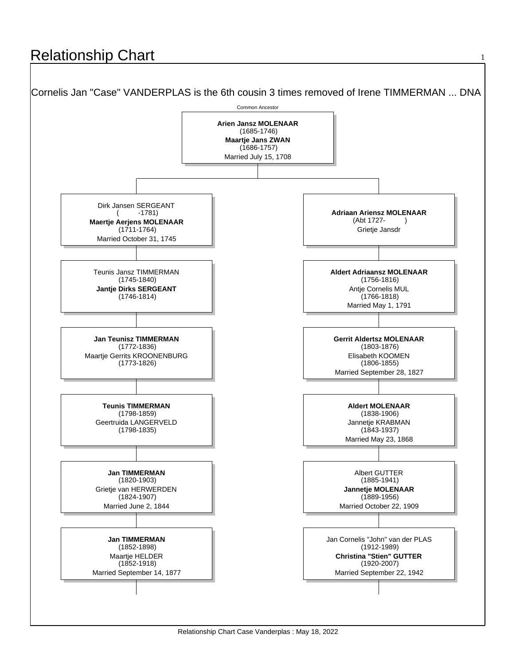## **Relationship Chart**